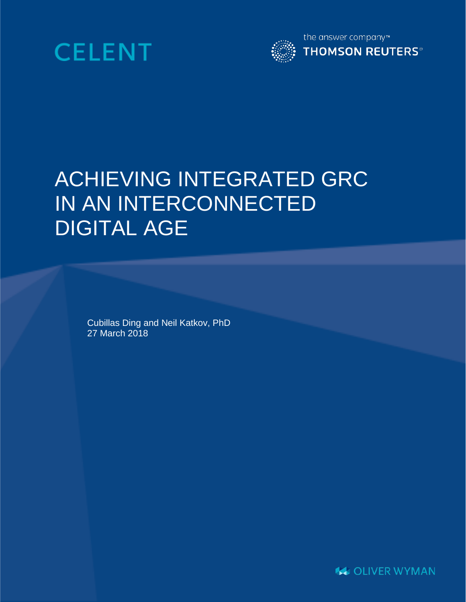



# ACHIEVING INTEGRATED GRC IN AN INTERCONNECTED DIGITAL AGE

Cubillas Ding and Neil Katkov, PhD 27 March 2018

**IS OLIVER WYMAN**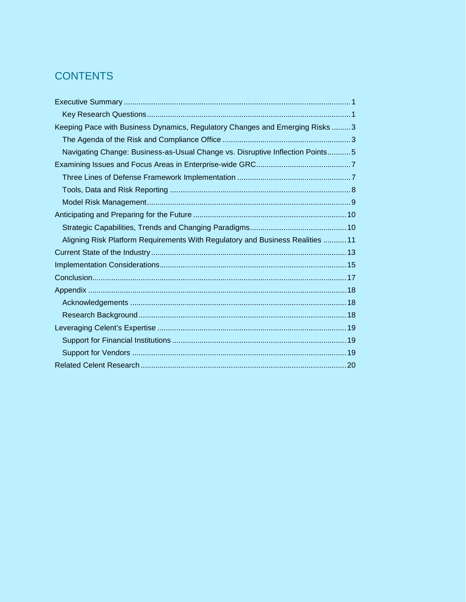# **CONTENTS**

| Keeping Pace with Business Dynamics, Regulatory Changes and Emerging Risks  3 |  |
|-------------------------------------------------------------------------------|--|
|                                                                               |  |
| Navigating Change: Business-as-Usual Change vs. Disruptive Inflection Points5 |  |
|                                                                               |  |
|                                                                               |  |
|                                                                               |  |
|                                                                               |  |
|                                                                               |  |
|                                                                               |  |
| Aligning Risk Platform Requirements With Regulatory and Business Realities 11 |  |
|                                                                               |  |
|                                                                               |  |
|                                                                               |  |
|                                                                               |  |
|                                                                               |  |
|                                                                               |  |
|                                                                               |  |
|                                                                               |  |
|                                                                               |  |
|                                                                               |  |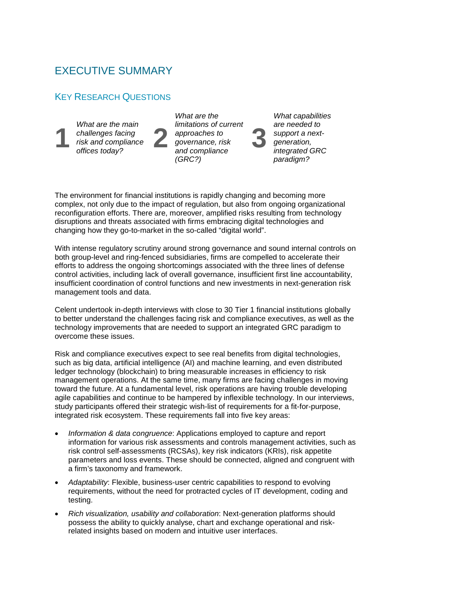# <span id="page-2-0"></span>EXECUTIVE SUMMARY

### <span id="page-2-1"></span>KEY RESEARCH QUESTIONS

**1** *What are the main challenges facing risk and compliance offices today?*

*What are the limitations of current approaches to governance, risk and compliance (GRC?)*

**2**

*What capabilities are needed to support a nextgeneration, integrated GRC paradigm?*

**3**

The environment for financial institutions is rapidly changing and becoming more complex, not only due to the impact of regulation, but also from ongoing organizational reconfiguration efforts. There are, moreover, amplified risks resulting from technology disruptions and threats associated with firms embracing digital technologies and changing how they go-to-market in the so-called "digital world".

With intense regulatory scrutiny around strong governance and sound internal controls on both group-level and ring-fenced subsidiaries, firms are compelled to accelerate their efforts to address the ongoing shortcomings associated with the three lines of defense control activities, including lack of overall governance, insufficient first line accountability, insufficient coordination of control functions and new investments in next-generation risk management tools and data.

Celent undertook in-depth interviews with close to 30 Tier 1 financial institutions globally to better understand the challenges facing risk and compliance executives, as well as the technology improvements that are needed to support an integrated GRC paradigm to overcome these issues.

Risk and compliance executives expect to see real benefits from digital technologies, such as big data, artificial intelligence (AI) and machine learning, and even distributed ledger technology (blockchain) to bring measurable increases in efficiency to risk management operations. At the same time, many firms are facing challenges in moving toward the future. At a fundamental level, risk operations are having trouble developing agile capabilities and continue to be hampered by inflexible technology. In our interviews, study participants offered their strategic wish-list of requirements for a fit-for-purpose, integrated risk ecosystem. These requirements fall into five key areas:

- *Information & data congruence*: Applications employed to capture and report information for various risk assessments and controls management activities, such as risk control self-assessments (RCSAs), key risk indicators (KRIs), risk appetite parameters and loss events. These should be connected, aligned and congruent with a firm's taxonomy and framework.
- *Adaptability*: Flexible, business-user centric capabilities to respond to evolving requirements, without the need for protracted cycles of IT development, coding and testing.
- *Rich visualization, usability and collaboration*: Next-generation platforms should possess the ability to quickly analyse, chart and exchange operational and riskrelated insights based on modern and intuitive user interfaces.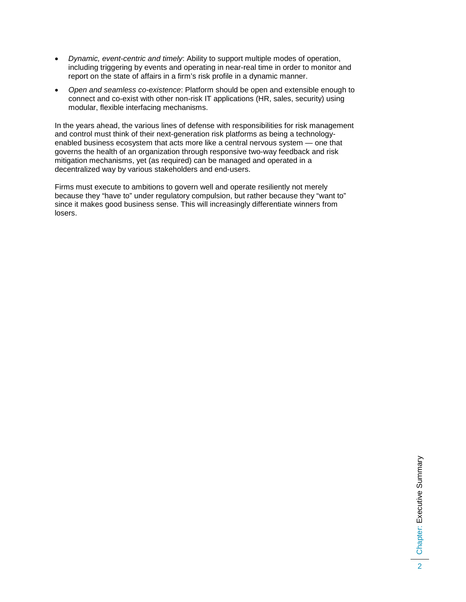- *Dynamic, event-centric and timely*: Ability to support multiple modes of operation, including triggering by events and operating in near-real time in order to monitor and report on the state of affairs in a firm's risk profile in a dynamic manner.
- *Open and seamless co-existence*: Platform should be open and extensible enough to connect and co-exist with other non-risk IT applications (HR, sales, security) using modular, flexible interfacing mechanisms.

In the years ahead, the various lines of defense with responsibilities for risk management and control must think of their next-generation risk platforms as being a technologyenabled business ecosystem that acts more like a central nervous system — one that governs the health of an organization through responsive two-way feedback and risk mitigation mechanisms, yet (as required) can be managed and operated in a decentralized way by various stakeholders and end-users.

Firms must execute to ambitions to govern well and operate resiliently not merely because they "have to" under regulatory compulsion, but rather because they "want to" since it makes good business sense. This will increasingly differentiate winners from losers.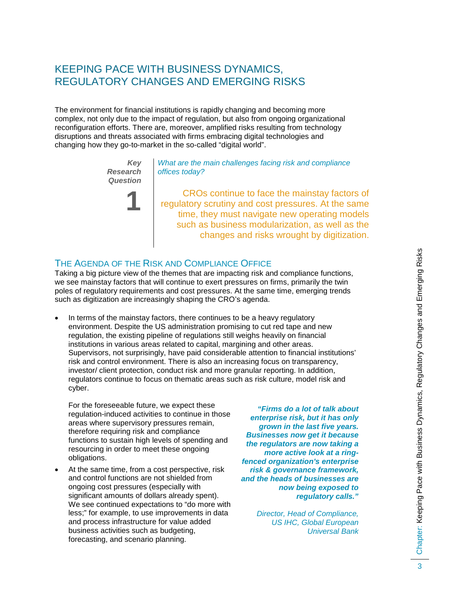# <span id="page-4-0"></span>KEEPING PACE WITH BUSINESS DYNAMICS, REGULATORY CHANGES AND EMERGING RISKS

The environment for financial institutions is rapidly changing and becoming more complex, not only due to the impact of regulation, but also from ongoing organizational reconfiguration efforts. There are, moreover, amplified risks resulting from technology disruptions and threats associated with firms embracing digital technologies and changing how they go-to-market in the so-called "digital world".

> *Key Research Question*

> > **1**

*What are the main challenges facing risk and compliance offices today?*

CROs continue to face the mainstay factors of regulatory scrutiny and cost pressures. At the same time, they must navigate new operating models such as business modularization, as well as the changes and risks wrought by digitization.

## <span id="page-4-1"></span>THE AGENDA OF THE RISK AND COMPLIANCE OFFICE

Taking a big picture view of the themes that are impacting risk and compliance functions, we see mainstay factors that will continue to exert pressures on firms, primarily the twin poles of regulatory requirements and cost pressures. At the same time, emerging trends such as digitization are increasingly shaping the CRO's agenda.

In terms of the mainstay factors, there continues to be a heavy regulatory environment. Despite the US administration promising to cut red tape and new regulation, the existing pipeline of regulations still weighs heavily on financial institutions in various areas related to capital, margining and other areas. Supervisors, not surprisingly, have paid considerable attention to financial institutions' risk and control environment. There is also an increasing focus on transparency, investor/ client protection, conduct risk and more granular reporting. In addition, regulators continue to focus on thematic areas such as risk culture, model risk and cyber.

For the foreseeable future, we expect these regulation-induced activities to continue in those areas where supervisory pressures remain, therefore requiring risk and compliance functions to sustain high levels of spending and resourcing in order to meet these ongoing obligations.

At the same time, from a cost perspective, risk and control functions are not shielded from ongoing cost pressures (especially with significant amounts of dollars already spent). We see continued expectations to "do more with less;" for example, to use improvements in data and process infrastructure for value added business activities such as budgeting, forecasting, and scenario planning.

*"Firms do a lot of talk about enterprise risk, but it has only grown in the last five years. Businesses now get it because the regulators are now taking a more active look at a ringfenced organization's enterprise risk & governance framework, and the heads of businesses are now being exposed to regulatory calls."*

> *Director, Head of Compliance, US IHC, Global European Universal Bank*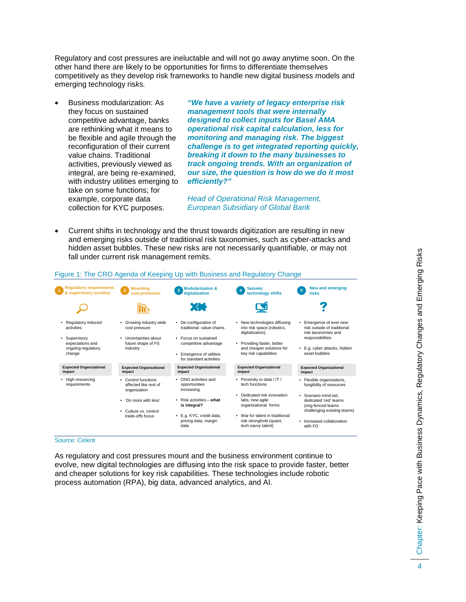Regulatory and cost pressures are ineluctable and will not go away anytime soon. On the other hand there are likely to be opportunities for firms to differentiate themselves competitively as they develop risk frameworks to handle new digital business models and emerging technology ris*ks.*

• Business modularization: As they focus on sustained competitive advantage, banks are rethinking what it means to be flexible and agile through the reconfiguration of their current value chains. Traditional activities, previously viewed as integral, are being re-examined, with industry utilities emerging to take on some functions; for example, corporate data collection for KYC purposes.

*"We have a variety of legacy enterprise risk management tools that were internally designed to collect inputs for Basel AMA operational risk capital calculation, less for monitoring and managing risk. The biggest challenge is to get integrated reporting quickly, breaking it down to the many businesses to track ongoing trends. With an organization of our size, the question is how do we do it most efficiently?"*

*Head of Operational Risk Management, European Subsidiary of Global Bank*

• Current shifts in technology and the thrust towards digitization are resulting in new and emerging risks outside of traditional risk taxonomies, such as cyber-attacks and hidden asset bubbles. These new risks are not necessarily quantifiable, or may not fall under current risk management remits.



#### Figure 1: The CRO Agenda of Keeping Up with Business and Regulatory Change

#### Source: Celent

As regulatory and cost pressures mount and the business environment continue to evolve, new digital technologies are diffusing into the risk space to provide faster, better and cheaper solutions for key risk capabilities. These technologies include robotic process automation (RPA), big data, advanced analytics, and AI.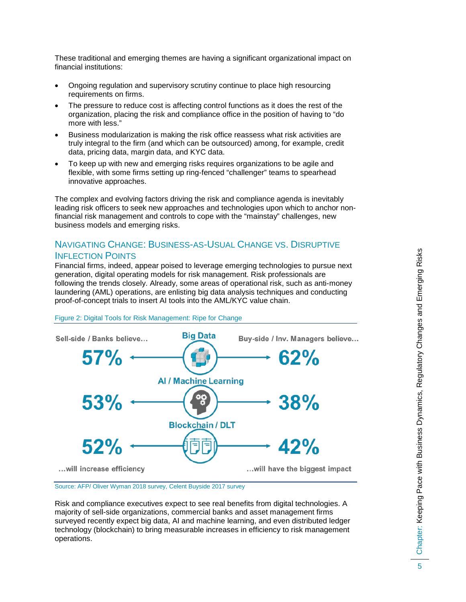These traditional and emerging themes are having a significant organizational impact on financial institutions:

- Ongoing regulation and supervisory scrutiny continue to place high resourcing requirements on firms.
- The pressure to reduce cost is affecting control functions as it does the rest of the organization, placing the risk and compliance office in the position of having to "do more with less."
- Business modularization is making the risk office reassess what risk activities are truly integral to the firm (and which can be outsourced) among, for example, credit data, pricing data, margin data, and KYC data.
- To keep up with new and emerging risks requires organizations to be agile and flexible, with some firms setting up ring-fenced "challenger" teams to spearhead innovative approaches.

The complex and evolving factors driving the risk and compliance agenda is inevitably leading risk officers to seek new approaches and technologies upon which to anchor nonfinancial risk management and controls to cope with the "mainstay" challenges, new business models and emerging risks.

### <span id="page-6-0"></span>NAVIGATING CHANGE: BUSINESS-AS-USUAL CHANGE VS. DISRUPTIVE INFLECTION POINTS

Financial firms, indeed, appear poised to leverage emerging technologies to pursue next generation, digital operating models for risk management. Risk professionals are following the trends closely. Already, some areas of operational risk, such as anti-money laundering (AML) operations, are enlisting big data analysis techniques and conducting proof-of-concept trials to insert AI tools into the AML/KYC value chain.



Figure 2: Digital Tools for Risk Management: Ripe for Change

Source: AFP/ Oliver Wyman 2018 survey, Celent Buyside 2017 survey

Risk and compliance executives expect to see real benefits from digital technologies. A majority of sell-side organizations, commercial banks and asset management firms surveyed recently expect big data, AI and machine learning, and even distributed ledger technology (blockchain) to bring measurable increases in efficiency to risk management operations.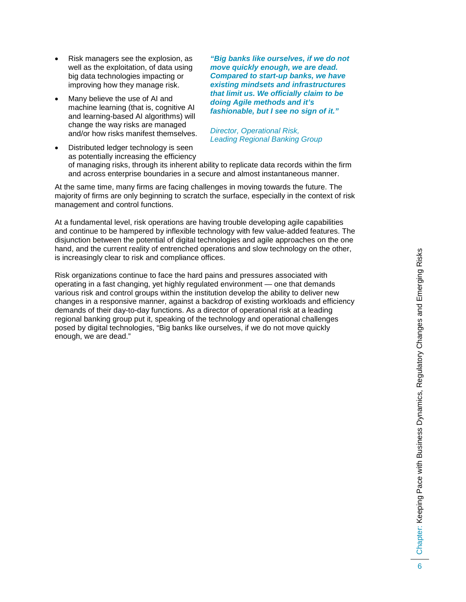- Risk managers see the explosion, as well as the exploitation, of data using big data technologies impacting or improving how they manage risk.
- Many believe the use of AI and machine learning (that is, cognitive AI and learning-based AI algorithms) will change the way risks are managed and/or how risks manifest themselves.

*"Big banks like ourselves, if we do not move quickly enough, we are dead. Compared to start-up banks, we have existing mindsets and infrastructures that limit us. We officially claim to be doing Agile methods and it's fashionable, but I see no sign of it."*

*Director, Operational Risk, Leading Regional Banking Group*

• Distributed ledger technology is seen as potentially increasing the efficiency of managing risks, through its inherent ability to replicate data records within the firm and across enterprise boundaries in a secure and almost instantaneous manner.

At the same time, many firms are facing challenges in moving towards the future. The majority of firms are only beginning to scratch the surface, especially in the context of risk management and control functions.

At a fundamental level, risk operations are having trouble developing agile capabilities and continue to be hampered by inflexible technology with few value-added features. The disjunction between the potential of digital technologies and agile approaches on the one hand, and the current reality of entrenched operations and slow technology on the other, is increasingly clear to risk and compliance offices.

Risk organizations continue to face the hard pains and pressures associated with operating in a fast changing, yet highly regulated environment — one that demands various risk and control groups within the institution develop the ability to deliver new changes in a responsive manner, against a backdrop of existing workloads and efficiency demands of their day-to-day functions. As a director of operational risk at a leading regional banking group put it, speaking of the technology and operational challenges posed by digital technologies, "Big banks like ourselves, if we do not move quickly enough, we are dead."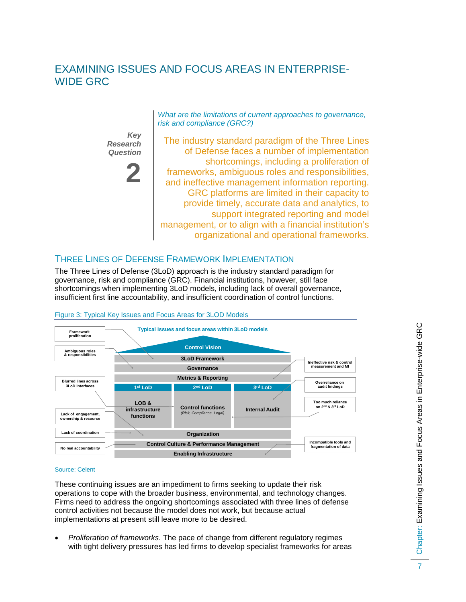# <span id="page-8-0"></span>EXAMINING ISSUES AND FOCUS AREAS IN ENTERPRISE-WIDE GRC

*What are the limitations of current approaches to governance, risk and compliance (GRC?)*

*Key Research Question*

**2**

The industry standard paradigm of the Three Lines of Defense faces a number of implementation shortcomings, including a proliferation of frameworks, ambiguous roles and responsibilities, and ineffective management information reporting. GRC platforms are limited in their capacity to provide timely, accurate data and analytics, to support integrated reporting and model management, or to align with a financial institution's organizational and operational frameworks.

### <span id="page-8-1"></span>THREE LINES OF DEFENSE FRAMEWORK IMPLEMENTATION

The Three Lines of Defense (3LoD) approach is the industry standard paradigm for governance, risk and compliance (GRC). Financial institutions, however, still face shortcomings when implementing 3LoD models, including lack of overall governance, insufficient first line accountability, and insufficient coordination of control functions.



#### Figure 3: Typical Key Issues and Focus Areas for 3LOD Models

#### Source: Celent

These continuing issues are an impediment to firms seeking to update their risk operations to cope with the broader business, environmental, and technology changes. Firms need to address the ongoing shortcomings associated with three lines of defense control activities not because the model does not work, but because actual implementations at present still leave more to be desired.

• *Proliferation of frameworks*. The pace of change from different regulatory regimes with tight delivery pressures has led firms to develop specialist frameworks for areas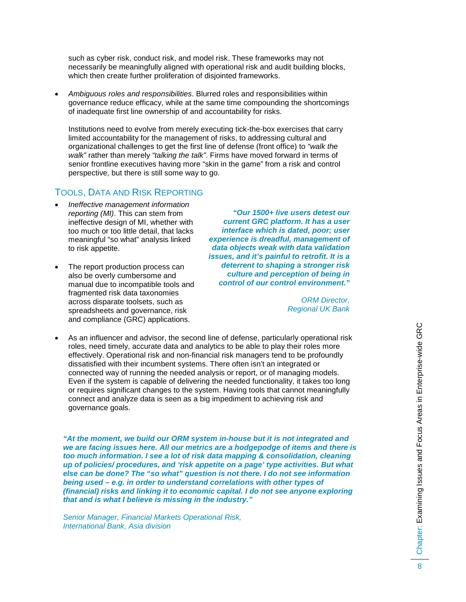such as cyber risk, conduct risk, and model risk. These frameworks may not necessarily be meaningfully aligned with operational risk and audit building blocks, which then create further proliferation of disjointed frameworks.

• *Ambiguous roles and responsibilities*. Blurred roles and responsibilities within governance reduce efficacy, while at the same time compounding the shortcomings of inadequate first line ownership of and accountability for risks.

Institutions need to evolve from merely executing tick-the-box exercises that carry limited accountability for the management of risks, to addressing cultural and organizational challenges to get the first line of defense (front office) to *"walk the walk"* rather than merely *"talking the talk"*. Firms have moved forward in terms of senior frontline executives having more "skin in the game" from a risk and control perspective, but there is still some way to go.

#### <span id="page-9-0"></span>TOOLS, DATA AND RISK REPORTING

- *Ineffective management information reporting (MI)*. This can stem from ineffective design of MI, whether with too much or too little detail, that lacks meaningful "so what" analysis linked to risk appetite.
- The report production process can also be overly cumbersome and manual due to incompatible tools and fragmented risk data taxonomies across disparate toolsets, such as spreadsheets and governance, risk and compliance (GRC) applications.

*"Our 1500+ live users detest our current GRC platform. It has a user interface which is dated, poor; user experience is dreadful, management of data objects weak with data validation issues, and it's painful to retrofit. It is a deterrent to shaping a stronger risk culture and perception of being in control of our control environment."*

> *ORM Director, Regional UK Bank*

• As an influencer and advisor, the second line of defense, particularly operational risk roles, need timely, accurate data and analytics to be able to play their roles more effectively. Operational risk and non-financial risk managers tend to be profoundly dissatisfied with their incumbent systems. There often isn't an integrated or connected way of running the needed analysis or report, or of managing models. Even if the system is capable of delivering the needed functionality, it takes too long or requires significant changes to the system. Having tools that cannot meaningfully connect and analyze data is seen as a big impediment to achieving risk and governance goals.

*"At the moment, we build our ORM system in-house but it is not integrated and we are facing issues here. All our metrics are a hodgepodge of items and there is too much information. I see a lot of risk data mapping & consolidation, cleaning up of policies/ procedures, and 'risk appetite on a page' type activities. But what else can be done? The "so what" question is not there. I do not see information being used – e.g. in order to understand correlations with other types of (financial) risks and linking it to economic capital. I do not see anyone exploring that and is what I believe is missing in the industry."*

*Senior Manager, Financial Markets Operational Risk, International Bank, Asia division*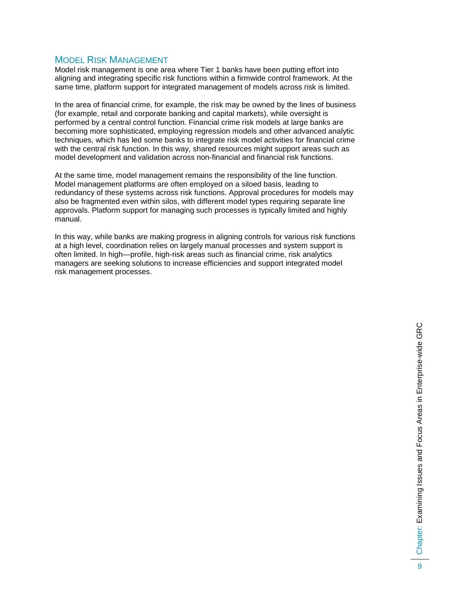#### <span id="page-10-0"></span>MODEL RISK MANAGEMENT

Model risk management is one area where Tier 1 banks have been putting effort into aligning and integrating specific risk functions within a firmwide control framework. At the same time, platform support for integrated management of models across risk is limited.

In the area of financial crime, for example, the risk may be owned by the lines of business (for example, retail and corporate banking and capital markets), while oversight is performed by a central control function. Financial crime risk models at large banks are becoming more sophisticated, employing regression models and other advanced analytic techniques, which has led some banks to integrate risk model activities for financial crime with the central risk function. In this way, shared resources might support areas such as model development and validation across non-financial and financial risk functions.

At the same time, model management remains the responsibility of the line function. Model management platforms are often employed on a siloed basis, leading to redundancy of these systems across risk functions. Approval procedures for models may also be fragmented even within silos, with different model types requiring separate line approvals. Platform support for managing such processes is typically limited and highly manual.

In this way, while banks are making progress in aligning controls for various risk functions at a high level, coordination relies on largely manual processes and system support is often limited. In high—profile, high-risk areas such as financial crime, risk analytics managers are seeking solutions to increase efficiencies and support integrated model risk management processes.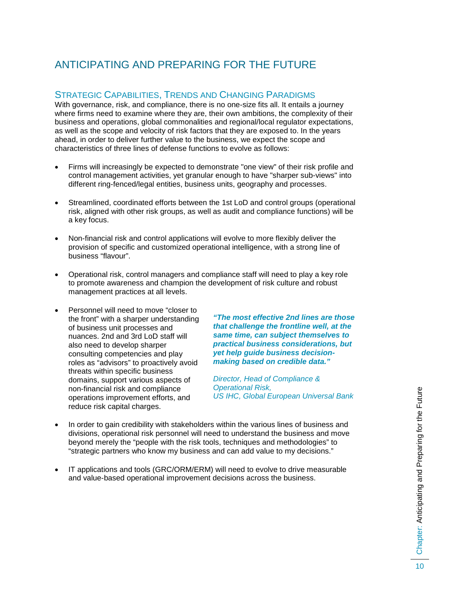# <span id="page-11-0"></span>ANTICIPATING AND PREPARING FOR THE FUTURE

#### <span id="page-11-1"></span>STRATEGIC CAPABILITIES, TRENDS AND CHANGING PARADIGMS

With governance, risk, and compliance, there is no one-size fits all. It entails a journey where firms need to examine where they are, their own ambitions, the complexity of their business and operations, global commonalities and regional/local regulator expectations, as well as the scope and velocity of risk factors that they are exposed to. In the years ahead, in order to deliver further value to the business, we expect the scope and characteristics of three lines of defense functions to evolve as follows:

- Firms will increasingly be expected to demonstrate "one view" of their risk profile and control management activities, yet granular enough to have "sharper sub-views" into different ring-fenced/legal entities, business units, geography and processes.
- Streamlined, coordinated efforts between the 1st LoD and control groups (operational risk, aligned with other risk groups, as well as audit and compliance functions) will be a key focus.
- Non-financial risk and control applications will evolve to more flexibly deliver the provision of specific and customized operational intelligence, with a strong line of business "flavour".
- Operational risk, control managers and compliance staff will need to play a key role to promote awareness and champion the development of risk culture and robust management practices at all levels.
- Personnel will need to move "closer to the front" with a sharper understanding of business unit processes and nuances. 2nd and 3rd LoD staff will also need to develop sharper consulting competencies and play roles as "advisors" to proactively avoid threats within specific business domains, support various aspects of non-financial risk and compliance operations improvement efforts, and reduce risk capital charges.

*"The most effective 2nd lines are those that challenge the frontline well, at the same time, can subject themselves to practical business considerations, but yet help guide business decisionmaking based on credible data."*

*Director, Head of Compliance & Operational Risk, US IHC, Global European Universal Bank*

- In order to gain credibility with stakeholders within the various lines of business and divisions, operational risk personnel will need to understand the business and move beyond merely the "people with the risk tools, techniques and methodologies" to "strategic partners who know my business and can add value to my decisions."
- IT applications and tools (GRC/ORM/ERM) will need to evolve to drive measurable and value-based operational improvement decisions across the business.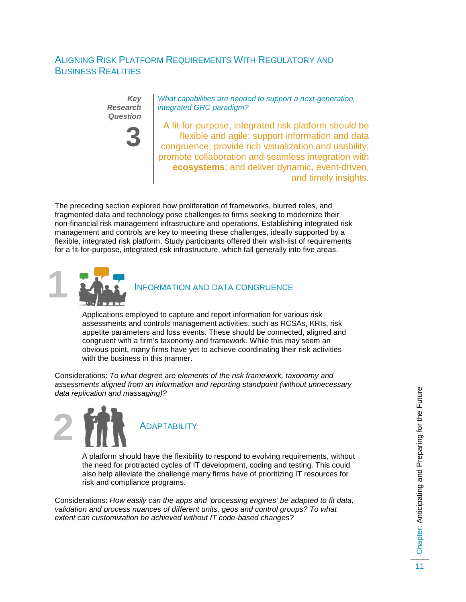# <span id="page-12-0"></span>ALIGNING RISK PLATFORM REQUIREMENTS WITH REGULATORY AND BUSINESS REALITIES

*Key Research Question*

**3**

*What capabilities are needed to support a next-generation, integrated GRC paradigm?*

A fit-for-purpose, integrated risk platform should be flexible and agile; support information and data congruence; provide rich visualization and usability; promote collaboration and seamless integration with **ecosystems**; and deliver dynamic, event-driven, and timely insights.

The preceding section explored how proliferation of frameworks, blurred roles, and fragmented data and technology pose challenges to firms seeking to modernize their non-financial risk management infrastructure and operations. Establishing integrated risk management and controls are key to meeting these challenges, ideally supported by a flexible, integrated risk platform. Study participants offered their wish-list of requirements for a fit-for-purpose, integrated risk infrastructure, which fall generally into five areas.



#### INFORMATION AND DATA CONGRUENCE

Applications employed to capture and report information for various risk assessments and controls management activities, such as RCSAs, KRIs, risk appetite parameters and loss events. These should be connected, aligned and congruent with a firm's taxonomy and framework. While this may seem an obvious point, many firms have yet to achieve coordinating their risk activities with the business in this manner.

Considerations: *To what degree are elements of the risk framework, taxonomy and assessments aligned from an information and reporting standpoint (without unnecessary data replication and massaging)?*



A platform should have the flexibility to respond to evolving requirements, without the need for protracted cycles of IT development, coding and testing. This could also help alleviate the challenge many firms have of prioritizing IT resources for risk and compliance programs.

Considerations: *How easily can the apps and 'processing engines' be adapted to fit data, validation and process nuances of different units, geos and control groups? To what extent can customization be achieved without IT code-based changes?*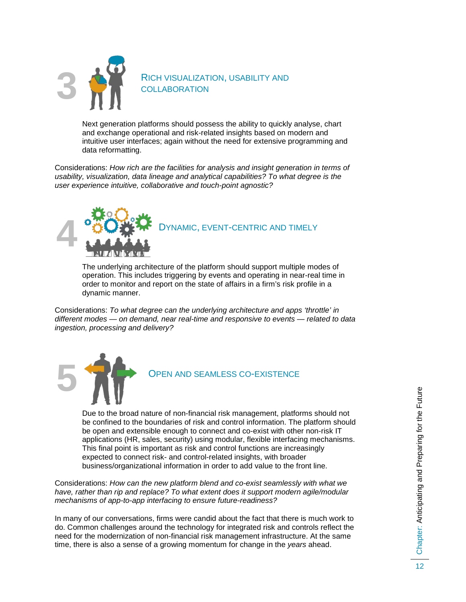

Next generation platforms should possess the ability to quickly analyse, chart and exchange operational and risk-related insights based on modern and intuitive user interfaces; again without the need for extensive programming and data reformatting.

Considerations: *How rich are the facilities for analysis and insight generation in terms of usability, visualization, data lineage and analytical capabilities? To what degree is the user experience intuitive, collaborative and touch-point agnostic?*



The underlying architecture of the platform should support multiple modes of operation. This includes triggering by events and operating in near-real time in order to monitor and report on the state of affairs in a firm's risk profile in a dynamic manner.

Considerations: *To what degree can the underlying architecture and apps 'throttle' in different modes — on demand, near real-time and responsive to events — related to data ingestion, processing and delivery?*



#### OPEN AND SEAMLESS CO-EXISTENCE

Due to the broad nature of non-financial risk management, platforms should not be confined to the boundaries of risk and control information. The platform should be open and extensible enough to connect and co-exist with other non-risk IT applications (HR, sales, security) using modular, flexible interfacing mechanisms. This final point is important as risk and control functions are increasingly expected to connect risk- and control-related insights, with broader business/organizational information in order to add value to the front line.

Considerations: *How can the new platform blend and co-exist seamlessly with what we have, rather than rip and replace? To what extent does it support modern agile/modular mechanisms of app-to-app interfacing to ensure future-readiness?*

In many of our conversations, firms were candid about the fact that there is much work to do. Common challenges around the technology for integrated risk and controls reflect the need for the modernization of non-financial risk management infrastructure. At the same time, there is also a sense of a growing momentum for change in the *years* ahead.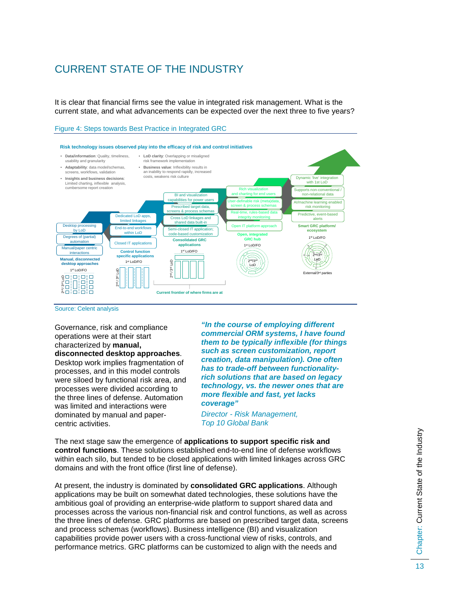# <span id="page-14-0"></span>CURRENT STATE OF THE INDUSTRY

It is clear that financial firms see the value in integrated risk management. What is the current state, and what advancements can be expected over the next three to five years?



Source: Celent analysis

Governance, risk and compliance operations were at their start characterized by **manual, disconnected desktop approaches**. Desktop work implies fragmentation of processes, and in this model controls were siloed by functional risk area, and processes were divided according to the three lines of defense. Automation was limited and interactions were dominated by manual and papercentric activities.

*"In the course of employing different commercial ORM systems, I have found them to be typically inflexible (for things such as screen customization, report creation, data manipulation). One often has to trade-off between functionalityrich solutions that are based on legacy technology, vs. the newer ones that are more flexible and fast, yet lacks coverage"*

*Director - Risk Management, Top 10 Global Bank*

The next stage saw the emergence of **applications to support specific risk and control functions**. These solutions established end-to-end line of defense workflows within each silo, but tended to be closed applications with limited linkages across GRC domains and with the front office (first line of defense).

At present, the industry is dominated by **consolidated GRC applications**. Although applications may be built on somewhat dated technologies, these solutions have the ambitious goal of providing an enterprise-wide platform to support shared data and processes across the various non-financial risk and control functions, as well as across the three lines of defense. GRC platforms are based on prescribed target data, screens and process schemas (workflows). Business intelligence (BI) and visualization capabilities provide power users with a cross-functional view of risks, controls, and performance metrics. GRC platforms can be customized to align with the needs and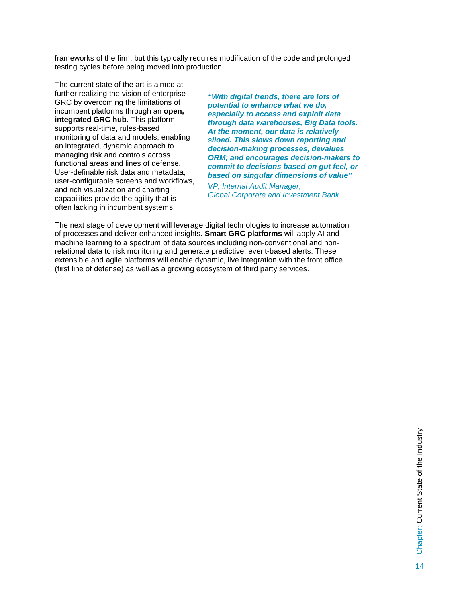frameworks of the firm, but this typically requires modification of the code and prolonged testing cycles before being moved into production.

The current state of the art is aimed at further realizing the vision of enterprise GRC by overcoming the limitations of incumbent platforms through an **open, integrated GRC hub**. This platform supports real-time, rules-based monitoring of data and models, enabling an integrated, dynamic approach to managing risk and controls across functional areas and lines of defense. User-definable risk data and metadata, user-configurable screens and workflows, and rich visualization and charting capabilities provide the agility that is often lacking in incumbent systems.

*"With digital trends, there are lots of potential to enhance what we do, especially to access and exploit data through data warehouses, Big Data tools. At the moment, our data is relatively siloed. This slows down reporting and decision-making processes, devalues ORM; and encourages decision-makers to commit to decisions based on gut feel, or based on singular dimensions of value" VP, Internal Audit Manager,*

*Global Corporate and Investment Bank*

The next stage of development will leverage digital technologies to increase automation of processes and deliver enhanced insights. **Smart GRC platforms** will apply AI and machine learning to a spectrum of data sources including non-conventional and nonrelational data to risk monitoring and generate predictive, event-based alerts. These extensible and agile platforms will enable dynamic, live integration with the front office (first line of defense) as well as a growing ecosystem of third party services.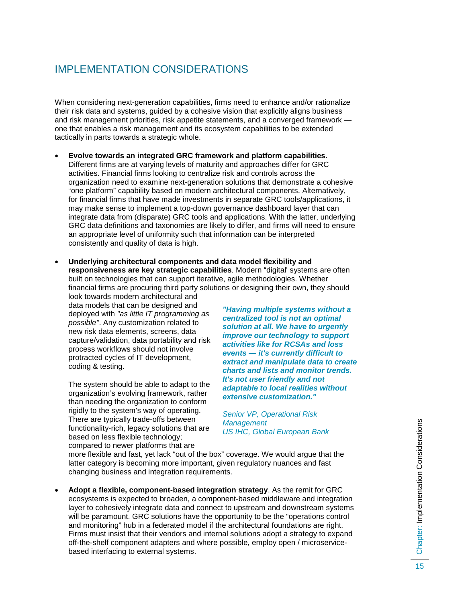# <span id="page-16-0"></span>IMPLEMENTATION CONSIDERATIONS

When considering next-generation capabilities, firms need to enhance and/or rationalize their risk data and systems, guided by a cohesive vision that explicitly aligns business and risk management priorities, risk appetite statements, and a converged framework one that enables a risk management and its ecosystem capabilities to be extended tactically in parts towards a strategic whole.

- **Evolve towards an integrated GRC framework and platform capabilities**. Different firms are at varying levels of maturity and approaches differ for GRC activities. Financial firms looking to centralize risk and controls across the organization need to examine next-generation solutions that demonstrate a cohesive "one platform" capability based on modern architectural components. Alternatively, for financial firms that have made investments in separate GRC tools/applications, it may make sense to implement a top-down governance dashboard layer that can integrate data from (disparate) GRC tools and applications. With the latter, underlying GRC data definitions and taxonomies are likely to differ, and firms will need to ensure an appropriate level of uniformity such that information can be interpreted consistently and quality of data is high.
- **Underlying architectural components and data model flexibility and responsiveness are key strategic capabilities**. Modern "digital' systems are often built on technologies that can support iterative, agile methodologies. Whether financial firms are procuring third party solutions or designing their own, they should look towards modern architectural and data models that can be designed and deployed with *"as little IT programming as "Having multiple systems without a centralized tool is not an optimal*

*possible"*. Any customization related to new risk data elements, screens, data capture/validation, data portability and risk process workflows should not involve protracted cycles of IT development, coding & testing.

The system should be able to adapt to the organization's evolving framework, rather than needing the organization to conform rigidly to the system's way of operating. There are typically trade-offs between functionality-rich, legacy solutions that are based on less flexible technology; compared to newer platforms that are

*solution at all. We have to urgently improve our technology to support activities like for RCSAs and loss events — it's currently difficult to extract and manipulate data to create charts and lists and monitor trends. It's not user friendly and not adaptable to local realities without extensive customization."* 

*Senior VP, Operational Risk Management US IHC, Global European Bank*

more flexible and fast, yet lack "out of the box" coverage. We would argue that the latter category is becoming more important, given regulatory nuances and fast changing business and integration requirements.

• **Adopt a flexible, component-based integration strategy**. As the remit for GRC ecosystems is expected to broaden, a component-based middleware and integration layer to cohesively integrate data and connect to upstream and downstream systems will be paramount. GRC solutions have the opportunity to be the "operations control and monitoring" hub in a federated model if the architectural foundations are right. Firms must insist that their vendors and internal solutions adopt a strategy to expand off-the-shelf component adapters and where possible, employ open / microservicebased interfacing to external systems.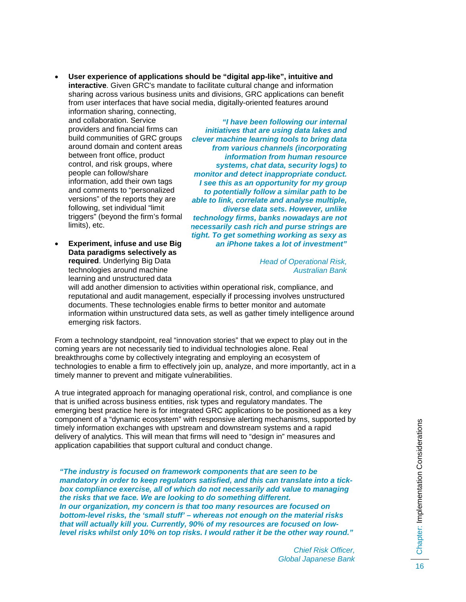• **User experience of applications should be "digital app-like", intuitive and interactive**. Given GRC's mandate to facilitate cultural change and information sharing across various business units and divisions, GRC applications can benefit from user interfaces that have social media, digitally-oriented features around

information sharing, connecting, and collaboration. Service providers and financial firms can build communities of GRC groups around domain and content areas between front office, product control, and risk groups, where people can follow/share information, add their own tags and comments to "personalized versions" of the reports they are following, set individual "limit triggers" (beyond the firm's formal limits), etc.

• **Experiment, infuse and use Big Data paradigms selectively as required**. Underlying Big Data technologies around machine learning and unstructured data

*"I have been following our internal initiatives that are using data lakes and clever machine learning tools to bring data from various channels (incorporating information from human resource systems, chat data, security logs) to monitor and detect inappropriate conduct. I see this as an opportunity for my group to potentially follow a similar path to be able to link, correlate and analyse multiple, diverse data sets. However, unlike technology firms, banks nowadays are not necessarily cash rich and purse strings are tight. To get something working as sexy as an iPhone takes a lot of investment"*

> *Head of Operational Risk, Australian Bank*

will add another dimension to activities within operational risk, compliance, and reputational and audit management, especially if processing involves unstructured documents. These technologies enable firms to better monitor and automate information within unstructured data sets, as well as gather timely intelligence around emerging risk factors.

From a technology standpoint, real "innovation stories" that we expect to play out in the coming years are not necessarily tied to individual technologies alone. Real breakthroughs come by collectively integrating and employing an ecosystem of technologies to enable a firm to effectively join up, analyze, and more importantly, act in a timely manner to prevent and mitigate vulnerabilities.

A true integrated approach for managing operational risk, control, and compliance is one that is unified across business entities, risk types and regulatory mandates. The emerging best practice here is for integrated GRC applications to be positioned as a key component of a "dynamic ecosystem" with responsive alerting mechanisms, supported by timely information exchanges with upstream and downstream systems and a rapid delivery of analytics. This will mean that firms will need to "design in" measures and application capabilities that support cultural and conduct change.

*"The industry is focused on framework components that are seen to be mandatory in order to keep regulators satisfied, and this can translate into a tickbox compliance exercise, all of which do not necessarily add value to managing the risks that we face. We are looking to do something different. In our organization, my concern is that too many resources are focused on bottom-level risks, the 'small stuff' – whereas not enough on the material risks that will actually kill you. Currently, 90% of my resources are focused on lowlevel risks whilst only 10% on top risks. I would rather it be the other way round."*

> *Chief Risk Officer, Global Japanese Bank*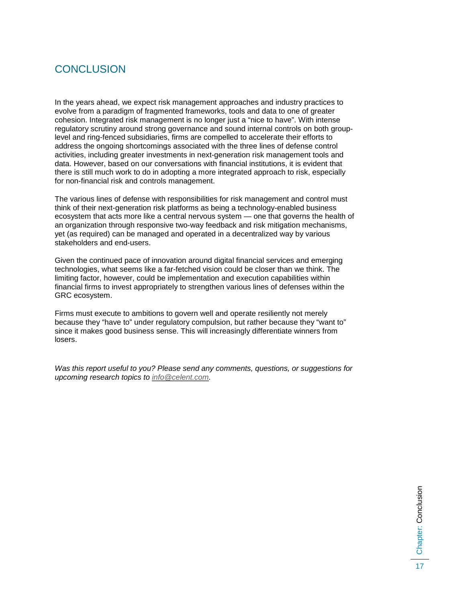# <span id="page-18-0"></span>**CONCLUSION**

In the years ahead, we expect risk management approaches and industry practices to evolve from a paradigm of fragmented frameworks, tools and data to one of greater cohesion. Integrated risk management is no longer just a "nice to have". With intense regulatory scrutiny around strong governance and sound internal controls on both grouplevel and ring-fenced subsidiaries, firms are compelled to accelerate their efforts to address the ongoing shortcomings associated with the three lines of defense control activities, including greater investments in next-generation risk management tools and data. However, based on our conversations with financial institutions, it is evident that there is still much work to do in adopting a more integrated approach to risk, especially for non-financial risk and controls management.

The various lines of defense with responsibilities for risk management and control must think of their next-generation risk platforms as being a technology-enabled business ecosystem that acts more like a central nervous system — one that governs the health of an organization through responsive two-way feedback and risk mitigation mechanisms, yet (as required) can be managed and operated in a decentralized way by various stakeholders and end-users.

Given the continued pace of innovation around digital financial services and emerging technologies, what seems like a far-fetched vision could be closer than we think. The limiting factor, however, could be implementation and execution capabilities within financial firms to invest appropriately to strengthen various lines of defenses within the GRC ecosystem.

Firms must execute to ambitions to govern well and operate resiliently not merely because they "have to" under regulatory compulsion, but rather because they "want to" since it makes good business sense. This will increasingly differentiate winners from losers.

*Was this report useful to you? Please send any comments, questions, or suggestions for upcoming research topics to [info@celent.com.](mailto:info@celent.com)*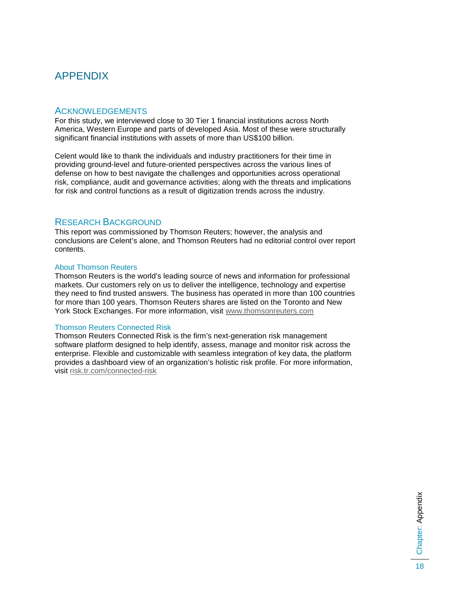# <span id="page-19-0"></span>APPENDIX

#### <span id="page-19-1"></span>**ACKNOWLEDGEMENTS**

For this study, we interviewed close to 30 Tier 1 financial institutions across North America, Western Europe and parts of developed Asia. Most of these were structurally significant financial institutions with assets of more than US\$100 billion.

Celent would like to thank the individuals and industry practitioners for their time in providing ground-level and future-oriented perspectives across the various lines of defense on how to best navigate the challenges and opportunities across operational risk, compliance, audit and governance activities; along with the threats and implications for risk and control functions as a result of digitization trends across the industry.

#### <span id="page-19-2"></span>RESEARCH BACKGROUND

This report was commissioned by Thomson Reuters; however, the analysis and conclusions are Celent's alone, and Thomson Reuters had no editorial control over report contents.

#### About Thomson Reuters

Thomson Reuters is the world's leading source of news and information for professional markets. Our customers rely on us to deliver the intelligence, technology and expertise they need to find trusted answers. The business has operated in more than 100 countries for more than 100 years. Thomson Reuters shares are listed on the Toronto and New York Stock Exchanges. For more information, visit [www.thomsonreuters.com](http://www.thomsonreuters.com/) 

#### Thomson Reuters Connected Risk

Thomson Reuters Connected Risk is the firm's next-generation risk management software platform designed to help identify, assess, manage and monitor risk across the enterprise. Flexible and customizable with seamless integration of key data, the platform provides a dashboard view of an organization's holistic risk profile. For more information, visit [risk.tr.com/connected-risk](https://risk.thomsonreuters.com/en/products/connected-risk-compliance-software.html)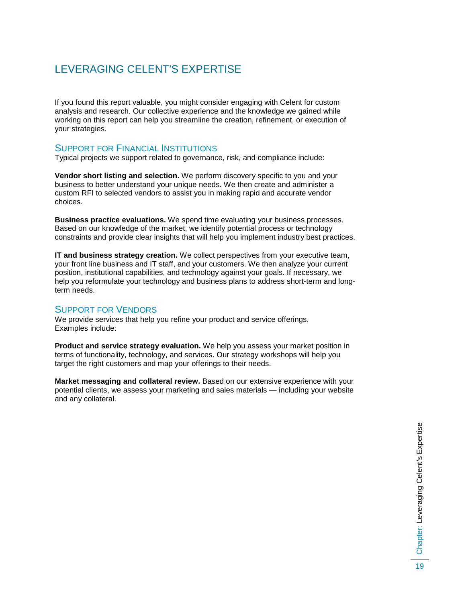# <span id="page-20-0"></span>LEVERAGING CELENT'S EXPERTISE

If you found this report valuable, you might consider engaging with Celent for custom analysis and research. Our collective experience and the knowledge we gained while working on this report can help you streamline the creation, refinement, or execution of your strategies.

#### <span id="page-20-1"></span>SUPPORT FOR FINANCIAL INSTITUTIONS

Typical projects we support related to governance, risk, and compliance include:

**Vendor short listing and selection.** We perform discovery specific to you and your business to better understand your unique needs. We then create and administer a custom RFI to selected vendors to assist you in making rapid and accurate vendor choices.

**Business practice evaluations.** We spend time evaluating your business processes. Based on our knowledge of the market, we identify potential process or technology constraints and provide clear insights that will help you implement industry best practices.

**IT and business strategy creation.** We collect perspectives from your executive team, your front line business and IT staff, and your customers. We then analyze your current position, institutional capabilities, and technology against your goals. If necessary, we help you reformulate your technology and business plans to address short-term and longterm needs.

#### <span id="page-20-2"></span>SUPPORT FOR VENDORS

We provide services that help you refine your product and service offerings. Examples include:

**Product and service strategy evaluation.** We help you assess your market position in terms of functionality, technology, and services. Our strategy workshops will help you target the right customers and map your offerings to their needs.

**Market messaging and collateral review.** Based on our extensive experience with your potential clients, we assess your marketing and sales materials — including your website and any collateral.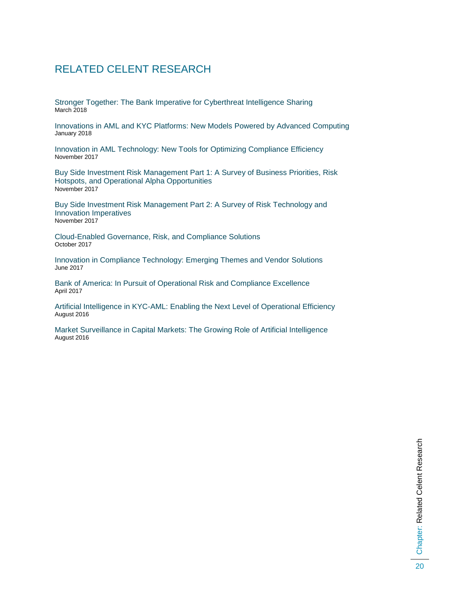# <span id="page-21-0"></span>RELATED CELENT RESEARCH

Stronger Together: The Bank [Imperative for Cyberthreat Intelligence Sharing](https://www.celent.com/insights/808409512) March 2018

[Innovations in AML and KYC Platforms: New Models Powered by Advanced Computing](https://www.celent.com/insights/629012081) January 2018

[Innovation in AML Technology: New Tools for Optimizing Compliance Efficiency](https://www.celent.com/insights/205361687)  November 2017

[Buy Side Investment Risk Management Part 1: A Survey of Business Priorities, Risk](https://www.celent.com/insights/328382861)  [Hotspots, and Operational Alpha Opportunities](https://www.celent.com/insights/328382861) November 2017

[Buy Side Investment Risk Management Part 2: A Survey of Risk Technology and](https://www.celent.com/insights/860347264)  [Innovation Imperatives](https://www.celent.com/insights/860347264) November 2017

[Cloud-Enabled Governance, Risk, and Compliance Solutions](https://www.celent.com/insights/914923731) October 2017

[Innovation in Compliance Technology: Emerging Themes and Vendor Solutions](https://www.celent.com/insights/632554247) June 2017

[Bank of America: In Pursuit of Operational Risk and Compliance Excellence](https://www.celent.com/insights/925806915) April 2017

Artificial Intelligence [in KYC-AML: Enabling the Next Level of Operational Efficiency](https://www.celent.com/insights/567701809) August 2016

[Market Surveillance in Capital Markets: The Growing Role of Artificial Intelligence](https://www.celent.com/insights/633634361) August 2016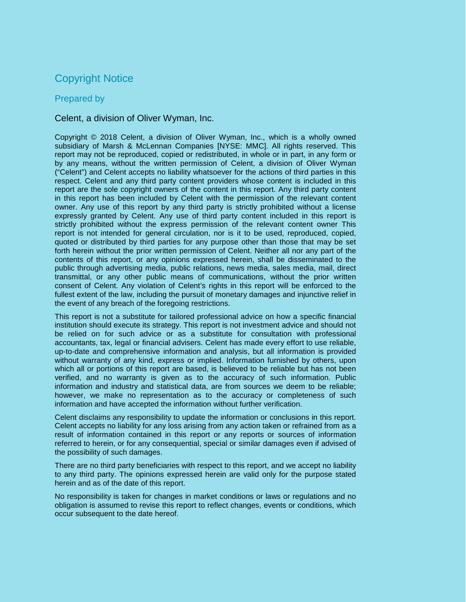# Copyright Notice

#### Prepared by

#### Celent, a division of Oliver Wyman, Inc.

Copyright © 2018 Celent, a division of Oliver Wyman, Inc., which is a wholly owned subsidiary of Marsh & McLennan Companies [NYSE: MMC]. All rights reserved. This report may not be reproduced, copied or redistributed, in whole or in part, in any form or by any means, without the written permission of Celent, a division of Oliver Wyman ("Celent") and Celent accepts no liability whatsoever for the actions of third parties in this respect. Celent and any third party content providers whose content is included in this report are the sole copyright owners of the content in this report. Any third party content in this report has been included by Celent with the permission of the relevant content owner. Any use of this report by any third party is strictly prohibited without a license expressly granted by Celent. Any use of third party content included in this report is strictly prohibited without the express permission of the relevant content owner This report is not intended for general circulation, nor is it to be used, reproduced, copied, quoted or distributed by third parties for any purpose other than those that may be set forth herein without the prior written permission of Celent. Neither all nor any part of the contents of this report, or any opinions expressed herein, shall be disseminated to the public through advertising media, public relations, news media, sales media, mail, direct transmittal, or any other public means of communications, without the prior written consent of Celent. Any violation of Celent's rights in this report will be enforced to the fullest extent of the law, including the pursuit of monetary damages and injunctive relief in the event of any breach of the foregoing restrictions.

This report is not a substitute for tailored professional advice on how a specific financial institution should execute its strategy. This report is not investment advice and should not be relied on for such advice or as a substitute for consultation with professional accountants, tax, legal or financial advisers. Celent has made every effort to use reliable, up-to-date and comprehensive information and analysis, but all information is provided without warranty of any kind, express or implied. Information furnished by others, upon which all or portions of this report are based, is believed to be reliable but has not been verified, and no warranty is given as to the accuracy of such information. Public information and industry and statistical data, are from sources we deem to be reliable; however, we make no representation as to the accuracy or completeness of such information and have accepted the information without further verification.

Celent disclaims any responsibility to update the information or conclusions in this report. Celent accepts no liability for any loss arising from any action taken or refrained from as a result of information contained in this report or any reports or sources of information referred to herein, or for any consequential, special or similar damages even if advised of the possibility of such damages.

There are no third party beneficiaries with respect to this report, and we accept no liability to any third party. The opinions expressed herein are valid only for the purpose stated herein and as of the date of this report.

No responsibility is taken for changes in market conditions or laws or regulations and no obligation is assumed to revise this report to reflect changes, events or conditions, which occur subsequent to the date hereof.